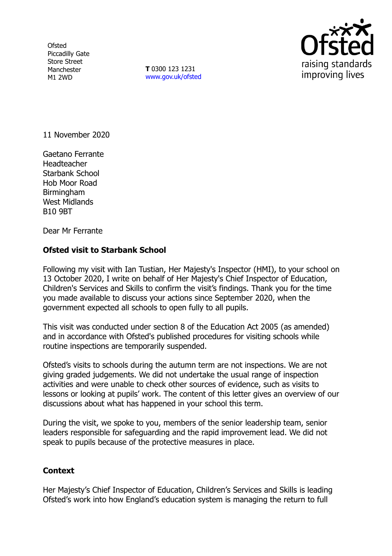**Ofsted** Piccadilly Gate Store Street Manchester M1 2WD

**T** 0300 123 1231 [www.gov.uk/ofsted](http://www.gov.uk/ofsted)



11 November 2020

Gaetano Ferrante **Headteacher** Starbank School Hob Moor Road Birmingham West Midlands B10 9BT

Dear Mr Ferrante

## **Ofsted visit to Starbank School**

Following my visit with Ian Tustian, Her Majesty's Inspector (HMI), to your school on 13 October 2020, I write on behalf of Her Majesty's Chief Inspector of Education, Children's Services and Skills to confirm the visit's findings. Thank you for the time you made available to discuss your actions since September 2020, when the government expected all schools to open fully to all pupils.

This visit was conducted under section 8 of the Education Act 2005 (as amended) and in accordance with Ofsted's published procedures for visiting schools while routine inspections are temporarily suspended.

Ofsted's visits to schools during the autumn term are not inspections. We are not giving graded judgements. We did not undertake the usual range of inspection activities and were unable to check other sources of evidence, such as visits to lessons or looking at pupils' work. The content of this letter gives an overview of our discussions about what has happened in your school this term.

During the visit, we spoke to you, members of the senior leadership team, senior leaders responsible for safeguarding and the rapid improvement lead. We did not speak to pupils because of the protective measures in place.

## **Context**

Her Majesty's Chief Inspector of Education, Children's Services and Skills is leading Ofsted's work into how England's education system is managing the return to full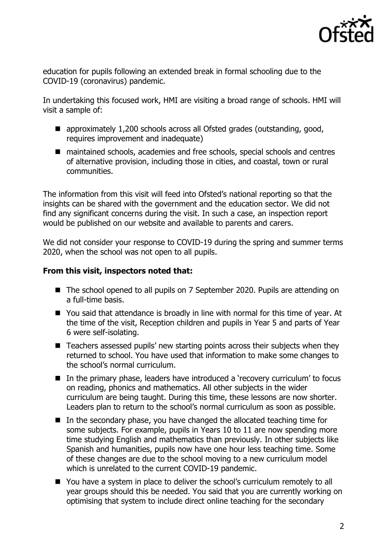

education for pupils following an extended break in formal schooling due to the COVID-19 (coronavirus) pandemic.

In undertaking this focused work, HMI are visiting a broad range of schools. HMI will visit a sample of:

- approximately 1,200 schools across all Ofsted grades (outstanding, good, requires improvement and inadequate)
- maintained schools, academies and free schools, special schools and centres of alternative provision, including those in cities, and coastal, town or rural communities.

The information from this visit will feed into Ofsted's national reporting so that the insights can be shared with the government and the education sector. We did not find any significant concerns during the visit. In such a case, an inspection report would be published on our website and available to parents and carers.

We did not consider your response to COVID-19 during the spring and summer terms 2020, when the school was not open to all pupils.

## **From this visit, inspectors noted that:**

- The school opened to all pupils on 7 September 2020. Pupils are attending on a full-time basis.
- You said that attendance is broadly in line with normal for this time of year. At the time of the visit, Reception children and pupils in Year 5 and parts of Year 6 were self-isolating.
- Teachers assessed pupils' new starting points across their subjects when they returned to school. You have used that information to make some changes to the school's normal curriculum.
- In the primary phase, leaders have introduced a 'recovery curriculum' to focus on reading, phonics and mathematics. All other subjects in the wider curriculum are being taught. During this time, these lessons are now shorter. Leaders plan to return to the school's normal curriculum as soon as possible.
- In the secondary phase, you have changed the allocated teaching time for some subjects. For example, pupils in Years 10 to 11 are now spending more time studying English and mathematics than previously. In other subjects like Spanish and humanities, pupils now have one hour less teaching time. Some of these changes are due to the school moving to a new curriculum model which is unrelated to the current COVID-19 pandemic.
- You have a system in place to deliver the school's curriculum remotely to all year groups should this be needed. You said that you are currently working on optimising that system to include direct online teaching for the secondary